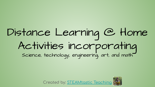# Distance Learning @ Home Activities incorporating<br>science, technology, engineering art, and math



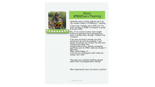

#### About STEAMtastic Teaching

Hello! My name is Emily Sullivan and I am<br>the teacher behind STEAMtastic Teaching.

I have been teaching since 2015, but I've<br>been teaching STEAM to students in grade<br>K-4 since 2016.

ALL of my resources have been taught within my classroom first and adjusted prior to selling them through Teachers Pay Teachers.

I am very excited to provide you with activities I do with my students. I will<br>always encourage you to have fun with your<br>students and while they design/build/create\_provide prompting<br>guestions such as: What made you design it this way?

What would happen if...

© STEAM tastic Teaching

I noticed you redesigned, what made you change your idea?

This gets your students thinking deeper<br>about their creating/problem solving

Most importantly, have fun and be creative!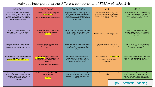### Activities incorporating the different components of STEAM (Grades 3-4)

| Science                                                                                                                                                                   | Technology                                                                                                                                                          | Engineering                                                                                                                                                                  | Art                                                                                                                      | Math                                                                                                                                               |
|---------------------------------------------------------------------------------------------------------------------------------------------------------------------------|---------------------------------------------------------------------------------------------------------------------------------------------------------------------|------------------------------------------------------------------------------------------------------------------------------------------------------------------------------|--------------------------------------------------------------------------------------------------------------------------|----------------------------------------------------------------------------------------------------------------------------------------------------|
| Scientists wont to understond the<br>world around us. Ask 5 questions to<br>learn more about something in<br>nature. Then research one of those<br>questions more deeply. | Complete a coding challenge on<br>Mr.Pearse.com<br>Click on the tab "learn" then "code.org"                                                                         | Imagine you only have one leg. Design<br>a prosthetic leg using household<br>items. Test it out! How do you make it<br>comfortable? How would you attach it<br>to your body? | Draw your ideal future city. What<br>areas will keep citizens healthy and<br>happy? What laws would you put in<br>place? | Play some basketball! Count how many<br>baskets you make out of 10. Now<br>create a fraction! What does this<br>fraction tell you?                 |
| Create your own experiment using<br>baking soda and vinegar. Make a<br>prediction BEFORE you test.                                                                        | Complete one of the "offline" coding<br>challenges at this website:<br><b>Click Here</b>                                                                            | find your favorite doll or action figure.<br>Design a zipline to help them travel<br>from a height of at least 4 feet.                                                       | Make a greeting card using 3-D popup<br>art.                                                                             | Help your family with grocery<br>shopping. Determine a budget and<br>select items without going over your<br>budget.                               |
| Place a small ball on top of a larger<br>ball and drop them at the same<br>time-watch how energy can transfer!                                                            | Design and build a new piece of<br>technology. What problem does it help<br>with?                                                                                   | Design and built a catapult. Test your<br>accuracy and power by knocking over<br>a tower of cups. (don't forget your<br>labels!)                                             | Make a piece of artwork using<br>reflection and rotational symmetry                                                      | Help an adult with dinner. Measure<br>the ingredients. What would you do to<br>double the recipe?                                                  |
| Build a window greenhouse and watch<br>your plants grow<br><b>Click here for setup instructions</b>                                                                       | Watch one of the videos from<br>Mr.Pearse.com and write about how it<br>made you feel. What does it make you<br>think about?<br>Click "video" tob then "the future" | Use different materials to protect a<br>water balloon from popping. Go<br>outside and test by dropping it or<br>throwing it against a tree.                                  | Create a new song on Mr.Pearse.com<br>Click on "games" tab then<br>"Song maker"                                          | Measure the length of your hand. Now<br>you have your own personal ruler! Go<br>out and measure 10 different items.                                |
| Turn on your water slowly. Brush a<br>plastic comb through your hair 10x.<br>Slowly bring the come close to the<br>water. What do you think is<br>happening?              | What is your ideal STEAM job? Take a<br>quiz to find out!<br><b>Click Here</b>                                                                                      | Design and build a roller coaster from<br>paper, paper plates, and tape. How<br>long can you keep a ping pong ball<br>moving?                                                | Go outside a design a mural out of<br>cholk!                                                                             | Measure your heartbeat for 10<br>seconds. Convert to beats per minute.<br>Run around your house and measure<br>again. What is your new heart rate? |
|                                                                                                                                                                           |                                                                                                                                                                     |                                                                                                                                                                              |                                                                                                                          | @STEAMtastic Teaching                                                                                                                              |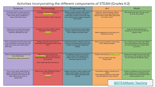#### Activities incorporating the different components of STEAM (Grades K-2)

| Science                                                                                                                                                      | Technology                                                                                                                                                           | Engineering                                                                                                                                                                     | Art                                                                                                                              | Math                                                                                                                                              |  |
|--------------------------------------------------------------------------------------------------------------------------------------------------------------|----------------------------------------------------------------------------------------------------------------------------------------------------------------------|---------------------------------------------------------------------------------------------------------------------------------------------------------------------------------|----------------------------------------------------------------------------------------------------------------------------------|---------------------------------------------------------------------------------------------------------------------------------------------------|--|
| Scientists wont to understond the<br>world around us. Ask 5 questions to<br>learn more about something in<br>noture. Write them down.                        | Complete a coding challenge on<br>Mr.Pearse.com<br>Click on the tab "learn" then "code.org"                                                                          | Design a paper airplane. Now build it<br>and test it 5 times. Don't forget to<br>record how it does for each test. Now<br>try to improve your airplane using the<br>same paper! | Draw your dream bedroom. Where<br>would you put your bed? Would you<br>have an area to play? What else would<br>be in your room? | Play some jump rope. Can you count<br>by 1s, 2s, 5s, and 10s?                                                                                     |  |
| Create your own experiment using<br>baking soda and vinegar. Make a<br>prediction BEFORE you test.                                                           | Complete one of the "offline" coding<br>challenges at this website:<br><b>Click Here</b>                                                                             | find your favorite doll or action figure.<br>Design a zipline to help them travel<br>from a height of at least 4 feet.                                                          | Make a greeting card and send it to<br>someone you miss.                                                                         | Help your family with grocery<br>shopping. Can you find out what it's<br>going to cost?                                                           |  |
| Plant a seed! Discuss what plants need<br>to survive! Watch it grow over the next<br>week and record your observations<br>each day!                          | Design and build a new piece of<br>technology. What problem does it help<br>with?                                                                                    | Design and built a catapult. Test your<br>accuracy and power by knocking over<br>a tower of cups. (don't forget your<br>labels!)                                                | Make a piece of artwork using using<br>only 2 different shapes.                                                                  | Use a small bag of candies like M&Ms,<br>and organize them. How many ways<br>can you organize your candy before<br>vou eat it!                    |  |
| Build a window greenhouse and watch<br>your plants grow<br>Click here for setuo instructions                                                                 | Watch one of the videos from<br>Mr. Pearse.com and write about how it<br>made you feel. What does it make you<br>think about?<br>Click "video" tab then "the future" | Use different materials to protect a<br>water balloon from popping. Go<br>outside and test by dropping it or<br>throwing it against a tree.                                     | Create a new song on Mr.Pearse.com<br>Click on "games" tab then<br>"Song maker"                                                  | Measure the length of your hand. Now<br>you have your own personal ruler! Go<br>out and measure 10 different items.                               |  |
| Turn on your water slowly. Brush a<br>plastic comb through your hair 10x.<br>Slowly bring the come close to the<br>water. What do you think is<br>happening? | What is your ideal STEAM job? Take a<br>quiz to find out!<br><b>Click Here</b>                                                                                       | Design and build a roller coaster from<br>paper, paper plates, and tape. How<br>long can you keep a ping pong ball<br>movina?                                                   | Go outside a design a mural out of<br>cholkl<br>Have someone trace you with chalk<br>and add details to your outline!            | Create an obstacle course. Count how<br>long it takes you to complete it! Can<br>you do it faster the second time? Get a<br>family member to try! |  |
|                                                                                                                                                              |                                                                                                                                                                      |                                                                                                                                                                                 |                                                                                                                                  | @STEAMtastic Teaching                                                                                                                             |  |